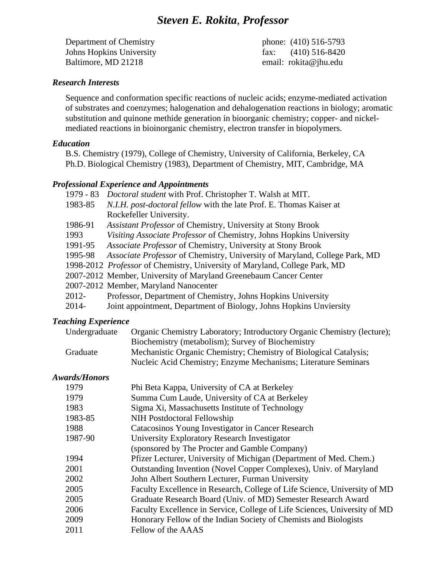# *Steven E. Rokita*, *Professor*

Department of Chemistry phone: (410) 516-5793 Johns Hopkins University fax: (410) 516-8420 Baltimore, MD 21218 email: rokita@jhu.edu

### *Research Interests*

Sequence and conformation specific reactions of nucleic acids; enzyme-mediated activation of substrates and coenzymes; halogenation and dehalogenation reactions in biology; aromatic substitution and quinone methide generation in bioorganic chemistry; copper- and nickelmediated reactions in bioinorganic chemistry, electron transfer in biopolymers.

#### *Education*

B.S. Chemistry (1979), College of Chemistry, University of California, Berkeley, CA Ph.D. Biological Chemistry (1983), Department of Chemistry, MIT, Cambridge, MA

#### *Professional Experience and Appointments*

| $1979 - 83$ | Doctoral student with Prof. Christopher T. Walsh at MIT.                          |
|-------------|-----------------------------------------------------------------------------------|
| 1983-85     | N.I.H. post-doctoral fellow with the late Prof. E. Thomas Kaiser at               |
|             | Rockefeller University.                                                           |
| 1986-91     | Assistant Professor of Chemistry, University at Stony Brook                       |
| 1993        | Visiting Associate Professor of Chemistry, Johns Hopkins University               |
| 1991-95     | Associate Professor of Chemistry, University at Stony Brook                       |
| 1995-98     | Associate Professor of Chemistry, University of Maryland, College Park, MD        |
|             | 1998-2012 <i>Professor</i> of Chemistry, University of Maryland, College Park, MD |
|             | 2007-2012 Member, University of Maryland Greenebaum Cancer Center                 |
|             | 2007-2012 Member, Maryland Nanocenter                                             |
| 2012-       | Professor, Department of Chemistry, Johns Hopkins University                      |
| $2014 -$    | Joint appointment, Department of Biology, Johns Hopkins Unviersity                |
|             |                                                                                   |

### *Teaching Experience*

| Undergraduate | Organic Chemistry Laboratory; Introductory Organic Chemistry (lecture); |
|---------------|-------------------------------------------------------------------------|
|               | Biochemistry (metabolism); Survey of Biochemistry                       |
| Graduate      | Mechanistic Organic Chemistry; Chemistry of Biological Catalysis;       |
|               | Nucleic Acid Chemistry; Enzyme Mechanisms; Literature Seminars          |

## *Awards/Honors*

| 1979    | Phi Beta Kappa, University of CA at Berkeley                              |
|---------|---------------------------------------------------------------------------|
| 1979    | Summa Cum Laude, University of CA at Berkeley                             |
| 1983    | Sigma Xi, Massachusetts Institute of Technology                           |
| 1983-85 | NIH Postdoctoral Fellowship                                               |
| 1988    | Catacosinos Young Investigator in Cancer Research                         |
| 1987-90 | University Exploratory Research Investigator                              |
|         | (sponsored by The Procter and Gamble Company)                             |
| 1994    | Pfizer Lecturer, University of Michigan (Department of Med. Chem.)        |
| 2001    | Outstanding Invention (Novel Copper Complexes), Univ. of Maryland         |
| 2002    | John Albert Southern Lecturer, Furman University                          |
| 2005    | Faculty Excellence in Research, College of Life Science, University of MD |
| 2005    | Graduate Research Board (Univ. of MD) Semester Research Award             |
| 2006    | Faculty Excellence in Service, College of Life Sciences, University of MD |
| 2009    | Honorary Fellow of the Indian Society of Chemists and Biologists          |
| 2011    | Fellow of the AAAS                                                        |
|         |                                                                           |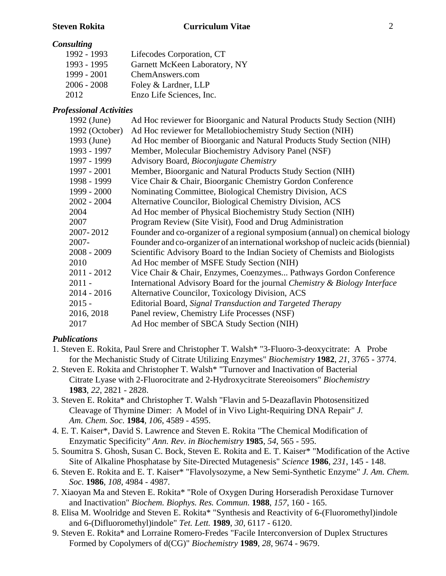## *Consulting*

| 1992 - 1993   | Lifecodes Corporation, CT     |
|---------------|-------------------------------|
| 1993 - 1995   | Garnett McKeen Laboratory, NY |
| 1999 - 2001   | ChemAnswers.com               |
| $2006 - 2008$ | Foley & Lardner, LLP          |
| 2012          | Enzo Life Sciences, Inc.      |

## *Professional Activities*

| 1992 (June)    | Ad Hoc reviewer for Bioorganic and Natural Products Study Section (NIH)           |
|----------------|-----------------------------------------------------------------------------------|
| 1992 (October) | Ad Hoc reviewer for Metallobiochemistry Study Section (NIH)                       |
| 1993 (June)    | Ad Hoc member of Bioorganic and Natural Products Study Section (NIH)              |
| 1993 - 1997    | Member, Molecular Biochemistry Advisory Panel (NSF)                               |
| 1997 - 1999    | Advisory Board, Bioconjugate Chemistry                                            |
| 1997 - 2001    | Member, Bioorganic and Natural Products Study Section (NIH)                       |
| 1998 - 1999    | Vice Chair & Chair, Bioorganic Chemistry Gordon Conference                        |
| 1999 - 2000    | Nominating Committee, Biological Chemistry Division, ACS                          |
| 2002 - 2004    | Alternative Councilor, Biological Chemistry Division, ACS                         |
| 2004           | Ad Hoc member of Physical Biochemistry Study Section (NIH)                        |
| 2007           | Program Review (Site Visit), Food and Drug Administration                         |
| 2007-2012      | Founder and co-organizer of a regional symposium (annual) on chemical biology     |
| 2007-          | Founder and co-organizer of an international workshop of nucleic acids (biennial) |
| 2008 - 2009    | Scientific Advisory Board to the Indian Society of Chemists and Biologists        |
| 2010           | Ad Hoc member of MSFE Study Section (NIH)                                         |
| 2011 - 2012    | Vice Chair & Chair, Enzymes, Coenzymes Pathways Gordon Conference                 |
| $2011 -$       | International Advisory Board for the journal Chemistry & Biology Interface        |
| 2014 - 2016    | Alternative Councilor, Toxicology Division, ACS                                   |
| $2015 -$       | Editorial Board, Signal Transduction and Targeted Therapy                         |
| 2016, 2018     | Panel review, Chemistry Life Processes (NSF)                                      |
| 2017           | Ad Hoc member of SBCA Study Section (NIH)                                         |

## *Publications*

- 1. Steven E. Rokita, Paul Srere and Christopher T. Walsh\* "3-Fluoro-3-deoxycitrate: A Probe for the Mechanistic Study of Citrate Utilizing Enzymes" *Biochemistry* **1982**, *21*, 3765 - 3774.
- 2. Steven E. Rokita and Christopher T. Walsh\* "Turnover and Inactivation of Bacterial Citrate Lyase with 2-Fluorocitrate and 2-Hydroxycitrate Stereoisomers" *Biochemistry* **1983**, *22*, 2821 - 2828.
- 3. Steven E. Rokita\* and Christopher T. Walsh "Flavin and 5-Deazaflavin Photosensitized Cleavage of Thymine Dimer: A Model of in Vivo Light-Requiring DNA Repair" *J. Am. Chem. Soc.* **1984**, *106*, 4589 - 4595.
- 4. E. T. Kaiser\*, David S. Lawrence and Steven E. Rokita "The Chemical Modification of Enzymatic Specificity" *Ann. Rev. in Biochemistry* **1985**, *54*, 565 - 595.
- 5. Soumitra S. Ghosh, Susan C. Bock, Steven E. Rokita and E. T. Kaiser\* "Modification of the Active Site of Alkaline Phosphatase by Site-Directed Mutagenesis" *Science* **1986**, *231*, 145 - 148.
- 6. Steven E. Rokita and E. T. Kaiser\* "Flavolysozyme, a New Semi-Synthetic Enzyme" *J. Am. Chem. Soc.* **1986**, *108*, 4984 - 4987.
- 7. Xiaoyan Ma and Steven E. Rokita\* "Role of Oxygen During Horseradish Peroxidase Turnover and Inactivation" *Biochem. Biophys. Res. Commun.* **1988**, *157*, 160 - 165.
- 8. Elisa M. Woolridge and Steven E. Rokita\* "Synthesis and Reactivity of 6-(Fluoromethyl)indole and 6-(Difluoromethyl)indole" *Tet. Lett.* **1989**, *30*, 6117 - 6120.
- 9. Steven E. Rokita\* and Lorraine Romero-Fredes "Facile Interconversion of Duplex Structures Formed by Copolymers of d(CG)" *Biochemistry* **1989**, *28*, 9674 - 9679.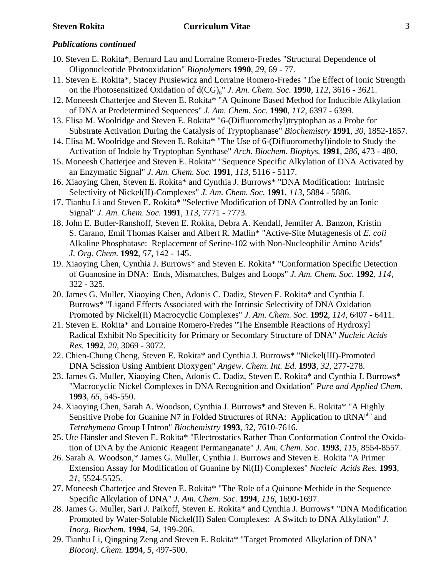- 10. Steven E. Rokita\*, Bernard Lau and Lorraine Romero-Fredes "Structural Dependence of Oligonucleotide Photooxidation" *Biopolymers* **1990**, *29*, 69 - 77.
- 11. Steven E. Rokita\*, Stacey Prusiewicz and Lorraine Romero-Fredes "The Effect of Ionic Strength on the Photosensitized Oxidation of  $d(CG)_{6}$ " *J. Am. Chem. Soc.* **1990**, *112*, 3616 - 3621.
- 12. Moneesh Chatterjee and Steven E. Rokita\* "A Quinone Based Method for Inducible Alkylation of DNA at Predetermined Sequences" *J. Am. Chem. Soc.* **1990**, *112*, 6397 - 6399.
- 13. Elisa M. Woolridge and Steven E. Rokita\* "6-(Difluoromethyl)tryptophan as a Probe for Substrate Activation During the Catalysis of Tryptophanase" *Biochemistry* **1991**, *30*, 1852-1857.
- 14. Elisa M. Woolridge and Steven E. Rokita\* "The Use of 6-(Difluoromethyl)indole to Study the Activation of Indole by Tryptophan Synthase" *Arch. Biochem. Biophys.* **1991**, *286*, 473 - 480.
- 15. Moneesh Chatterjee and Steven E. Rokita\* "Sequence Specific Alkylation of DNA Activated by an Enzymatic Signal" *J. Am. Chem. Soc.* **1991**, *113*, 5116 - 5117.
- 16. Xiaoying Chen, Steven E. Rokita\* and Cynthia J. Burrows\* "DNA Modification: Intrinsic Selectivity of Nickel(II)-Complexes" *J. Am. Chem. Soc.* **1991**, *113*, 5884 - 5886.
- 17. Tianhu Li and Steven E. Rokita\* "Selective Modification of DNA Controlled by an Ionic Signal" *J. Am. Chem. Soc.* **1991**, *113*, 7771 - 7773.
- 18. John E. Butler-Ranshoff, Steven E. Rokita, Debra A. Kendall, Jennifer A. Banzon, Kristin S. Carano, Emil Thomas Kaiser and Albert R. Matlin\* "Active-Site Mutagenesis of *E. coli* Alkaline Phosphatase: Replacement of Serine-102 with Non-Nucleophilic Amino Acids" *J. Org. Chem.* **1992**, *57*, 142 - 145.
- 19. Xiaoying Chen, Cynthia J. Burrows\* and Steven E. Rokita\* "Conformation Specific Detection of Guanosine in DNA: Ends, Mismatches, Bulges and Loops" *J. Am. Chem. Soc.* **1992**, *114*, 322 - 325.
- 20. James G. Muller, Xiaoying Chen, Adonis C. Dadiz, Steven E. Rokita\* and Cynthia J. Burrows\* "Ligand Effects Associated with the Intrinsic Selectivity of DNA Oxidation Promoted by Nickel(II) Macrocyclic Complexes" *J. Am. Chem. Soc.* **1992**, *114*, 6407 - 6411.
- 21. Steven E. Rokita\* and Lorraine Romero-Fredes "The Ensemble Reactions of Hydroxyl Radical Exhibit No Specificity for Primary or Secondary Structure of DNA" *Nucleic Acids Res.* **1992**, *20*, 3069 - 3072.
- 22. Chien-Chung Cheng, Steven E. Rokita\* and Cynthia J. Burrows\* "Nickel(III)-Promoted DNA Scission Using Ambient Dioxygen" *Angew. Chem. Int. Ed.* **1993**, *32*, 277-278.
- 23. James G. Muller, Xiaoying Chen, Adonis C. Dadiz, Steven E. Rokita\* and Cynthia J. Burrows\* "Macrocyclic Nickel Complexes in DNA Recognition and Oxidation" *Pure and Applied Chem.* **1993**, *65*, 545-550.
- 24. Xiaoying Chen, Sarah A. Woodson, Cynthia J. Burrows\* and Steven E. Rokita\* "A Highly Sensitive Probe for Guanine N7 in Folded Structures of RNA: Application to tRNA<sup>phe</sup> and *Tetrahymena* Group I Intron" *Biochemistry* **1993**, *32*, 7610-7616.
- 25. Ute Hänsler and Steven E. Rokita\* "Electrostatics Rather Than Conformation Control the Oxidation of DNA by the Anionic Reagent Permanganate" *J. Am. Chem. Soc.* **1993**, *115*, 8554-8557.
- 26. Sarah A. Woodson,\* James G. Muller, Cynthia J. Burrows and Steven E. Rokita "A Primer Extension Assay for Modification of Guanine by Ni(II) Complexes" *Nucleic Acids Res.* **1993**, *21*, 5524-5525.
- 27. Moneesh Chatterjee and Steven E. Rokita\* "The Role of a Quinone Methide in the Sequence Specific Alkylation of DNA" *J. Am. Chem. Soc.* **1994**, *116*, 1690-1697.
- 28. James G. Muller, Sari J. Paikoff, Steven E. Rokita\* and Cynthia J. Burrows\* "DNA Modification Promoted by Water-Soluble Nickel(II) Salen Complexes: A Switch to DNA Alkylation" *J. Inorg. Biochem.* **1994**, *54*, 199-206.
- 29. Tianhu Li, Qingping Zeng and Steven E. Rokita\* "Target Promoted Alkylation of DNA" *Bioconj. Chem.* **1994**, *5*, 497-500.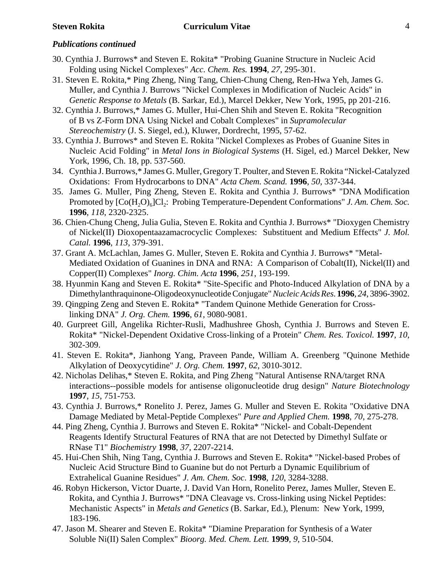- 30. Cynthia J. Burrows\* and Steven E. Rokita\* "Probing Guanine Structure in Nucleic Acid Folding using Nickel Complexes" *Acc. Chem. Res.* **1994**, *27*, 295-301.
- 31. Steven E. Rokita,\* Ping Zheng, Ning Tang, Chien-Chung Cheng, Ren-Hwa Yeh, James G. Muller, and Cynthia J. Burrows "Nickel Complexes in Modification of Nucleic Acids" in *Genetic Response to Metals* (B. Sarkar, Ed.), Marcel Dekker, New York, 1995, pp 201-216.
- 32. Cynthia J. Burrows,\* James G. Muller, Hui-Chen Shih and Steven E. Rokita "Recognition of B vs Z-Form DNA Using Nickel and Cobalt Complexes" in *Supramolecular Stereochemistry* (J. S. Siegel, ed.), Kluwer, Dordrecht, 1995, 57-62.
- 33. Cynthia J. Burrows\* and Steven E. Rokita "Nickel Complexes as Probes of Guanine Sites in Nucleic Acid Folding" in *Metal Ions in Biological Systems* (H. Sigel, ed.) Marcel Dekker, New York, 1996, Ch. 18, pp. 537-560.
- 34. Cynthia J. Burrows,\* James G. Muller, Gregory T. Poulter, and Steven E. Rokita "Nickel-Catalyzed Oxidations: From Hydrocarbons to DNA" *Acta Chem. Scand.* **1996**, *50,* 337-344.
- 35. James G. Muller, Ping Zheng, Steven E. Rokita and Cynthia J. Burrows\* "DNA Modification Promoted by  $[Co(H, O)<sub>6</sub>]Cl<sub>2</sub>$ : Probing Temperature-Dependent Conformations" *J. Am. Chem. Soc.* **1996**, *118*, 2320-2325.
- 36. Chien-Chung Cheng, Julia Gulia, Steven E. Rokita and Cynthia J. Burrows\* "Dioxygen Chemistry of Nickel(II) Dioxopentaazamacrocyclic Complexes: Substituent and Medium Effects" *J. Mol. Catal.* **1996**, *113*, 379-391.
- 37. Grant A. McLachlan, James G. Muller, Steven E. Rokita and Cynthia J. Burrows\* "Metal-Mediated Oxidation of Guanines in DNA and RNA: A Comparison of Cobalt(II), Nickel(II) and Copper(II) Complexes" *Inorg. Chim. Acta* **1996**, *251*, 193-199.
- 38. Hyunmin Kang and Steven E. Rokita\* "Site-Specific and Photo-Induced Alkylation of DNA by a Dimethylanthraquinone-Oligodeoxynucleotide Conjugate" *Nucleic Acids Res*. **1996**, *24*, 3896-3902.
- 39. Qingping Zeng and Steven E. Rokita\* "Tandem Quinone Methide Generation for Crosslinking DNA" *J. Org. Chem.* **1996**, *61*, 9080-9081.
- 40. Gurpreet Gill, Angelika Richter-Rusli, Madhushree Ghosh, Cynthia J. Burrows and Steven E. Rokita\* "Nickel-Dependent Oxidative Cross-linking of a Protein" *Chem. Res. Toxicol.* **1997**, *10*, 302-309.
- 41. Steven E. Rokita\*, Jianhong Yang, Praveen Pande, William A. Greenberg "Quinone Methide Alkylation of Deoxycytidine" *J. Org. Chem.* **1997**, *62*, 3010-3012.
- 42. Nicholas Delihas,\* Steven E. Rokita, and Ping Zheng "Natural Antisense RNA/target RNA interactions--possible models for antisense oligonucleotide drug design" *Nature Biotechnology* **1997**, *15*, 751-753.
- 43. Cynthia J. Burrows,\* Ronelito J. Perez, James G. Muller and Steven E. Rokita "Oxidative DNA Damage Mediated by Metal-Peptide Complexes" *Pure and Applied Chem.* **1998**, *70*, 275-278.
- 44. Ping Zheng, Cynthia J. Burrows and Steven E. Rokita\* "Nickel- and Cobalt-Dependent Reagents Identify Structural Features of RNA that are not Detected by Dimethyl Sulfate or RNase T1" *Biochemistry* **1998**, *37*, 2207-2214.
- 45. Hui-Chen Shih, Ning Tang, Cynthia J. Burrows and Steven E. Rokita\* "Nickel-based Probes of Nucleic Acid Structure Bind to Guanine but do not Perturb a Dynamic Equilibrium of Extrahelical Guanine Residues" *J. Am. Chem. Soc*. **1998**, *120*, 3284-3288.
- 46. Robyn Hickerson, Victor Duarte, J. David Van Horn, Ronelito Perez, James Muller, Steven E. Rokita, and Cynthia J. Burrows\* "DNA Cleavage vs. Cross-linking using Nickel Peptides: Mechanistic Aspects" in *Metals and Genetics* (B. Sarkar, Ed.), Plenum: New York, 1999, 183-196.
- 47. Jason M. Shearer and Steven E. Rokita\* "Diamine Preparation for Synthesis of a Water Soluble Ni(II) Salen Complex" *Bioorg. Med. Chem. Lett.* **1999**, *9*, 510-504.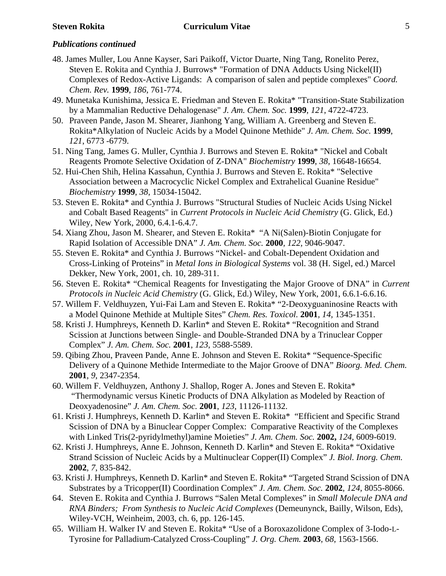- 48. James Muller, Lou Anne Kayser, Sari Paikoff, Victor Duarte, Ning Tang, Ronelito Perez, Steven E. Rokita and Cynthia J. Burrows\* "Formation of DNA Adducts Using Nickel(II) Complexes of Redox-Active Ligands: A comparison of salen and peptide complexes" *Coord. Chem. Rev.* **1999**, *186*, 761-774.
- 49. Munetaka Kunishima, Jessica E. Friedman and Steven E. Rokita\* "Transition-State Stabilization by a Mammalian Reductive Dehalogenase" *J. Am. Chem. Soc.* **1999**, *121*, 4722-4723.
- 50. Praveen Pande, Jason M. Shearer, Jianhong Yang, William A. Greenberg and Steven E. Rokita\*Alkylation of Nucleic Acids by a Model Quinone Methide" *J. Am. Chem. Soc.* **1999**, *121*, 6773 -6779.
- 51. Ning Tang, James G. Muller, Cynthia J. Burrows and Steven E. Rokita\* "Nickel and Cobalt Reagents Promote Selective Oxidation of Z-DNA" *Biochemistry* **1999**, *38*, 16648-16654.
- 52. Hui-Chen Shih, Helina Kassahun, Cynthia J. Burrows and Steven E. Rokita\* "Selective Association between a Macrocyclic Nickel Complex and Extrahelical Guanine Residue" *Biochemistry* **1999**, *38*, 15034-15042.
- 53. Steven E. Rokita\* and Cynthia J. Burrows "Structural Studies of Nucleic Acids Using Nickel and Cobalt Based Reagents" in *Current Protocols in Nucleic Acid Chemistry* (G. Glick, Ed.) Wiley, New York, 2000, 6.4.1-6.4.7.
- 54. Xiang Zhou, Jason M. Shearer, and Steven E. Rokita\* "A Ni(Salen)-Biotin Conjugate for Rapid Isolation of Accessible DNA" *J. Am. Chem. Soc.* **2000***, 122,* 9046-9047.
- 55. Steven E. Rokita\* and Cynthia J. Burrows "Nickel- and Cobalt-Dependent Oxidation and Cross-Linking of Proteins" in *Metal Ions in Biological Systems* vol. 38 (H. Sigel, ed.) Marcel Dekker, New York, 2001, ch. 10, 289-311.
- 56. Steven E. Rokita\* "Chemical Reagents for Investigating the Major Groove of DNA" in *Current Protocols in Nucleic Acid Chemistry* (G. Glick, Ed.) Wiley, New York, 2001, 6.6.1-6.6.16.
- 57. Willem F. Veldhuyzen, Yui-Fai Lam and Steven E. Rokita\* "2-Deoxyguaninosine Reacts with a Model Quinone Methide at Multiple Sites" *Chem. Res. Toxicol.* **2001***, 14,* 1345-1351.
- 58. Kristi J. Humphreys, Kenneth D. Karlin\* and Steven E. Rokita\* "Recognition and Strand Scission at Junctions between Single- and Double-Stranded DNA by a Trinuclear Copper Complex" *J. Am. Chem. Soc.* **2001**, *123*, 5588-5589.
- 59. Qibing Zhou, Praveen Pande, Anne E. Johnson and Steven E. Rokita\* "Sequence-Specific Delivery of a Quinone Methide Intermediate to the Major Groove of DNA" *Bioorg. Med. Chem.* **2001**, *9*, 2347-2354.
- 60. Willem F. Veldhuyzen, Anthony J. Shallop, Roger A. Jones and Steven E. Rokita\* "Thermodynamic versus Kinetic Products of DNA Alkylation as Modeled by Reaction of Deoxyadenosine" *J. Am. Chem. Soc.* **2001**, *123*, 11126-11132.
- 61. Kristi J. Humphreys, Kenneth D. Karlin\* and Steven E. Rokita\* "Efficient and Specific Strand Scission of DNA by a Binuclear Copper Complex: Comparative Reactivity of the Complexes with Linked Tris(2-pyridylmethyl)amine Moieties" *J. Am. Chem. Soc.* **2002,** *124*, 6009-6019.
- 62. Kristi J. Humphreys, Anne E. Johnson, Kenneth D. Karlin\* and Steven E. Rokita\* "Oxidative Strand Scission of Nucleic Acids by a Multinuclear Copper(II) Complex" *J. Biol. Inorg. Chem.* **2002**, *7*, 835-842.
- 63. Kristi J. Humphreys, Kenneth D. Karlin\* and Steven E. Rokita\* "Targeted Strand Scission of DNA Substrates by a Tricopper(II) Coordination Complex" *J. Am. Chem. Soc.* **2002***, 124,* 8055-8066.
- 64. Steven E. Rokita and Cynthia J. Burrows "Salen Metal Complexes" in *Small Molecule DNA and RNA Binders; From Synthesis to Nucleic Acid Complexes* (Demeunynck, Bailly, Wilson, Eds), Wiley-VCH, Weinheim, 2003, ch. 6, pp. 126-145.
- 65. William H. Walker IV and Steven E. Rokita\* "Use of a Boroxazolidone Complex of 3-Iodo-L-Tyrosine for Palladium-Catalyzed Cross-Coupling" *J. Org. Chem.* **2003**, *68*, 1563-1566.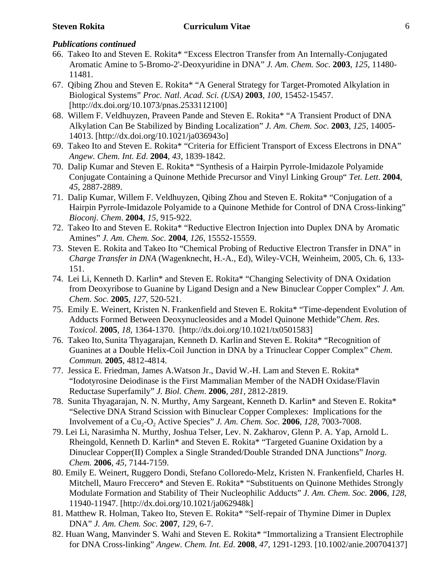- 66. Takeo Ito and Steven E. Rokita\* "Excess Electron Transfer from An Internally-Conjugated Aromatic Amine to 5-Bromo-2'-Deoxyuridine in DNA" *J. Am. Chem. Soc.* **2003**, *125*, 11480- 11481.
- 67. Qibing Zhou and Steven E. Rokita\* "A General Strategy for Target-Promoted Alkylation in Biological Systems" *Proc. Natl. Acad. Sci. (USA)* **2003**, *100*, 15452-15457. [http://dx.doi.org/10.1073/pnas.2533112100]
- 68. Willem F. Veldhuyzen, Praveen Pande and Steven E. Rokita\* "A Transient Product of DNA Alkylation Can Be Stabilized by Binding Localization" *J. Am. Chem. Soc.* **2003**, *125*, 14005- 14013. [http://dx.doi.org/10.1021/ja036943o]
- 69. Takeo Ito and Steven E. Rokita\* "Criteria for Efficient Transport of Excess Electrons in DNA" *Angew. Chem. Int. Ed*. **2004**, *43*, 1839-1842.
- 70. Dalip Kumar and Steven E. Rokita\* "Synthesis of a Hairpin Pyrrole-Imidazole Polyamide Conjugate Containing a Quinone Methide Precursor and Vinyl Linking Group" *Tet. Lett*. **2004**, *45*, 2887-2889.
- 71. Dalip Kumar, Willem F. Veldhuyzen, Qibing Zhou and Steven E. Rokita\* "Conjugation of a Hairpin Pyrrole-Imidazole Polyamide to a Quinone Methide for Control of DNA Cross-linking" *Bioconj. Chem*. **2004**, *15*, 915-922.
- 72. Takeo Ito and Steven E. Rokita\* "Reductive Electron Injection into Duplex DNA by Aromatic Amines" *J. Am. Chem. Soc.* **2004**, *126*, 15552-15559.
- 73. Steven E. Rokita and Takeo Ito "Chemical Probing of Reductive Electron Transfer in DNA" in *Charge Transfer in DNA* (Wagenknecht, H.-A., Ed), Wiley-VCH, Weinheim, 2005, Ch. 6, 133- 151.
- 74. Lei Li, Kenneth D. Karlin\* and Steven E. Rokita\* "Changing Selectivity of DNA Oxidation from Deoxyribose to Guanine by Ligand Design and a New Binuclear Copper Complex" *J. Am. Chem. Soc.* **2005**, *127*, 520-521.
- 75. Emily E. Weinert, Kristen N. Frankenfield and Steven E. Rokita\* "Time-dependent Evolution of Adducts Formed Between Deoxynucleosides and a Model Quinone Methide"*Chem. Res. Toxicol.* **2005**, *18*, 1364-1370. [http://dx.doi.org/10.1021/tx0501583]
- 76. Takeo Ito, Sunita Thyagarajan, Kenneth D. Karlin and Steven E. Rokita\* "Recognition of Guanines at a Double Helix-Coil Junction in DNA by a Trinuclear Copper Complex" *Chem. Commun.* **2005**, 4812-4814.
- 77. Jessica E. Friedman, James A.Watson Jr., David W.-H. Lam and Steven E. Rokita\* "Iodotyrosine Deiodinase is the First Mammalian Member of the NADH Oxidase/Flavin Reductase Superfamily" *J. Biol. Chem*. **2006**, *281*, 2812-2819.
- 78. Sunita Thyagarajan, N. N. Murthy, Amy Sargeant, Kenneth D. Karlin\* and Steven E. Rokita\* "Selective DNA Strand Scission with Binuclear Copper Complexes: Implications for the Involvement of a Cu<sub>2</sub>-O<sub>2</sub> Active Species" *J. Am. Chem. Soc.* **2006***, 128*, 7003-7008.
- 79. Lei Li, Narasimha N. Murthy, Joshua Telser, Lev. N. Zakharov, Glenn P. A. Yap, Arnold L. Rheingold, Kenneth D. Karlin\* and Steven E. Rokita\* "Targeted Guanine Oxidation by a Dinuclear Copper(II) Complex a Single Stranded/Double Stranded DNA Junctions" *Inorg. Chem.* **2006**, *45*, 7144-7159.
- 80. Emily E. Weinert, Ruggero Dondi, Stefano Colloredo-Melz, Kristen N. Frankenfield, Charles H. Mitchell, Mauro Freccero\* and Steven E. Rokita\* "Substituents on Quinone Methides Strongly Modulate Formation and Stability of Their Nucleophilic Adducts" *J. Am. Chem. Soc.* **2006**, *128*, 11940-11947. [http://dx.doi.org/10.1021/ja062948k]
- 81. Matthew R. Holman, Takeo Ito, Steven E. Rokita\* "Self-repair of Thymine Dimer in Duplex DNA" *J. Am. Chem. Soc.* **2007**, *129*, 6-7.
- 82. Huan Wang, Manvinder S. Wahi and Steven E. Rokita\* "Immortalizing a Transient Electrophile for DNA Cross-linking" *Angew. Chem. Int. Ed*. **2008**, *47*, 1291-1293. [10.1002/anie.200704137]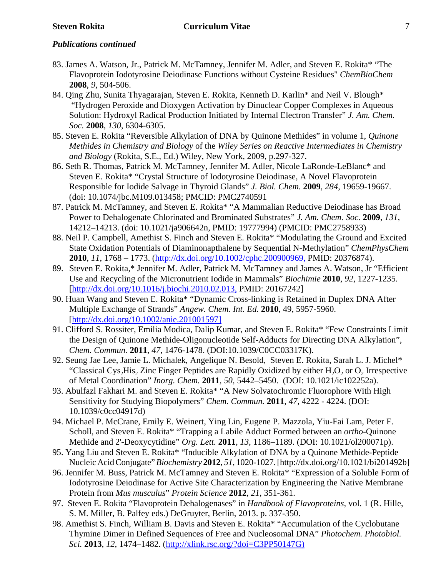- 83. James A. Watson, Jr., Patrick M. McTamney, Jennifer M. Adler, and Steven E. Rokita\* "The Flavoprotein Iodotyrosine Deiodinase Functions without Cysteine Residues" *ChemBioChem* **2008**, *9*, 504-506.
- 84. Qing Zhu, Sunita Thyagarajan, Steven E. Rokita, Kenneth D. Karlin\* and Neil V. Blough\* "Hydrogen Peroxide and Dioxygen Activation by Dinuclear Copper Complexes in Aqueous Solution: Hydroxyl Radical Production Initiated by Internal Electron Transfer" *J. Am. Chem. Soc.* **2008**, *130*, 6304-6305.
- 85. Steven E. Rokita "Reversible Alkylation of DNA by Quinone Methides" in volume 1, *Quinone Methides in Chemistry and Biology* of the *Wiley Series on Reactive Intermediates in Chemistry and Biology* (Rokita, S.E., Ed.) Wiley, New York, 2009, p.297-327.
- 86. Seth R. Thomas, Patrick M. McTamney, Jennifer M. Adler, Nicole LaRonde-LeBlanc\* and Steven E. Rokita\* "Crystal Structure of Iodotyrosine Deiodinase, A Novel Flavoprotein Responsible for Iodide Salvage in Thyroid Glands" *J. Biol. Chem.* **2009**, *284*, 19659-19667. (doi: 10.1074/jbc.M109.013458; PMCID: PMC2740591
- 87. Patrick M. McTamney, and Steven E. Rokita\* "A Mammalian Reductive Deiodinase has Broad Power to Dehalogenate Chlorinated and Brominated Substrates" *J. Am. Chem. Soc.* **2009**, *131,* 14212–14213. (doi: 10.1021/ja906642n, PMID: 19777994) (PMCID: PMC2758933)
- 88. Neil P. Campbell, Amethist S. Finch and Steven E. Rokita\* "Modulating the Ground and Excited State Oxidation Potentials of Diaminonapthalene by Sequential N-Methylation" *ChemPhysChem* **2010**, *11*, 1768 – 1773. (http://dx.doi.org/10.1002/cphc.200900969, PMID: 20376874).
- 89. Steven E. Rokita,\* Jennifer M. Adler, Patrick M. McTamney and James A. Watson, Jr "Efficient Use and Recycling of the Micronutrient Iodide in Mammals" *Biochimie* **2010**, *92*, 1227-1235. [http://dx.doi.org/10.1016/j.biochi.2010.02.013, PMID: 20167242]
- 90. Huan Wang and Steven E. Rokita\* "Dynamic Cross-linking is Retained in Duplex DNA After Multiple Exchange of Strands" *Angew. Chem. Int. Ed.* **2010**, 49, 5957-5960. [http://dx.doi.org/10.1002/anie.201001597]
- 91. Clifford S. Rossiter, Emilia Modica, Dalip Kumar, and Steven E. Rokita\* "Few Constraints Limit the Design of Quinone Methide-Oligonucleotide Self-Adducts for Directing DNA Alkylation", *Chem. Commun.* **2011**, *47*, 1476-1478. (DOI:10.1039/C0CC03317K).
- 92. Seung Jae Lee, Jamie L. Michalek, Angelique N. Besold, Steven E. Rokita, Sarah L. J. Michel\* "Classical Cys<sub>2</sub>His<sub>2</sub> Zinc Finger Peptides are Rapidly Oxidized by either  $H_2O_2$  or  $O_2$  Irrespective of Metal Coordination" *Inorg. Chem.* **2011***, 50,* 5442–5450. (DOI: 10.1021/ic102252a).
- 93. Abulfazl Fakhari M. and Steven E. Rokita\* "A New Solvatochromic Fluorophore With High Sensitivity for Studying Biopolymers" *Chem. Commun.* **2011***, 47,* 4222 - 4224. (DOI: 10.1039/c0cc04917d)
- 94. Michael P. McCrane, Emily E. Weinert, Ying Lin, Eugene P. Mazzola, Yiu-Fai Lam, Peter F. Scholl, and Steven E. Rokita\* "Trapping a Labile Adduct Formed between an *ortho*-Quinone Methide and 2'-Deoxycytidine" *Org. Lett.* **2011**, *13*, 1186–1189. (DOI: 10.1021/ol200071p).
- 95. Yang Liu and Steven E. Rokita\* "Inducible Alkylation of DNA by a Quinone Methide-Peptide Nucleic Acid Conjugate" *Biochemistry* **2012**, *51*, 1020-1027. [http://dx.doi.org/10.1021/bi201492b]
- 96. Jennifer M. Buss, Patrick M. McTamney and Steven E. Rokita\* "Expression of a Soluble Form of Iodotyrosine Deiodinase for Active Site Characterization by Engineering the Native Membrane Protein from *Mus musculus*" *Protein Science* **2012**, *21*, 351-361.
- 97. Steven E. Rokita "Flavoprotein Dehalogenases" in *Handbook of Flavoproteins,* vol. 1 (R. Hille, S. M. Miller, B. Palfey eds.) DeGruyter, Berlin, 2013. p. 337-350.
- 98. Amethist S. Finch, William B. Davis and Steven E. Rokita\* "Accumulation of the Cyclobutane Thymine Dimer in Defined Sequences of Free and Nucleosomal DNA" *Photochem. Photobiol. Sci.* **2013**, *12*, 1474–1482. (http://xlink.rsc.org/?doi=C3PP50147G)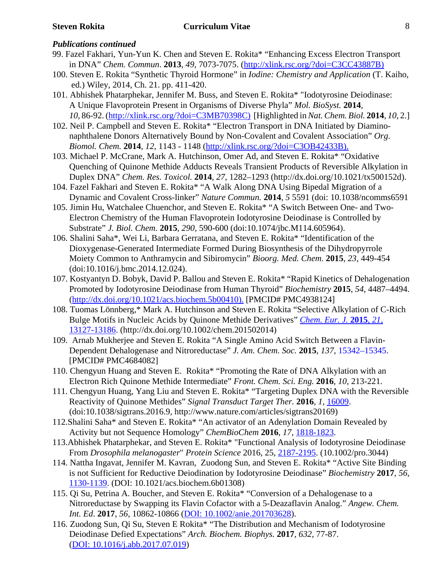- 99. Fazel Fakhari, Yun-Yun K. Chen and Steven E. Rokita\* "Enhancing Excess Electron Transport in DNA" *Chem. Commun*. **2013**, *49*, 7073-7075. (http://xlink.rsc.org/?doi=C3CC43887B)
- 100. Steven E. Rokita "Synthetic Thyroid Hormone" in *Iodine: Chemistry and Application* (T. Kaiho, ed.) Wiley, 2014, Ch. 21. pp. 411-420.
- 101. Abhishek Phatarphekar, Jennifer M. Buss, and Steven E. Rokita\* "Iodotyrosine Deiodinase: A Unique Flavoprotein Present in Organisms of Diverse Phyla" *Mol. BioSyst.* **2014***, 10*, 86-92. (http://xlink.rsc.org/?doi=C3MB70398C) [Highlighted in *Nat. Chem. Biol.* **2014**, *10*, 2.]
- 102. Neil P. Campbell and Steven E. Rokita\* "Electron Transport in DNA Initiated by Diaminonaphthalene Donors Alternatively Bound by Non-Covalent and Covalent Association" *Org*. *Biomol. Chem.* **2014**, *12*, 1143 - 1148 (http://xlink.rsc.org/?doi=C3OB42433B).
- 103. Michael P. McCrane, Mark A. Hutchinson, Omer Ad, and Steven E. Rokita\* "Oxidative Quenching of Quinone Methide Adducts Reveals Transient Products of Reversible Alkylation in Duplex DNA" *Chem. Res. Toxicol.* **2014**, *27*, 1282–1293 (http://dx.doi.org/10.1021/tx500152d).
- 104. Fazel Fakhari and Steven E. Rokita\* "A Walk Along DNA Using Bipedal Migration of a Dynamic and Covalent Cross-linker" *Nature Commun.* **2014**, *5* 5591 (doi: 10.1038/ncomms6591
- 105. Jimin Hu, Watchalee Chuenchor, and Steven E. Rokita\* "A Switch Between One- and Two-Electron Chemistry of the Human Flavoprotein Iodotyrosine Deiodinase is Controlled by Substrate" *J. Biol. Chem.* **2015**, *290*, 590-600 (doi:10.1074/jbc.M114.605964).
- 106. Shalini Saha\*, Wei Li, Barbara Gerratana, and Steven E. Rokita\* "Identification of the Dioxygenase-Generated Intermediate Formed During Biosynthesis of the Dihydropyrrole Moiety Common to Anthramycin and Sibiromycin" *Bioorg. Med. Chem.* **2015**, *23*, 449-454 (doi:10.1016/j.bmc.2014.12.024).
- 107. Kostyantyn D. Bobyk, David P. Ballou and Steven E. Rokita\* "Rapid Kinetics of Dehalogenation Promoted by Iodotyrosine Deiodinase from Human Thyroid" *Biochemistry* **2015**, *54*, 4487–4494. (http://dx.doi.org/10.1021/acs.biochem.5b00410). [PMCID# PMC4938124]
- 108. Tuomas Lönnberg,\* Mark A. Hutchinson and Steven E. Rokita "Selective Alkylation of C-Rich Bulge Motifs in Nucleic Acids by Quinone Methide Derivatives" *Chem. Eur. J.* **2015**, *21*, 13127-13186. (http://dx.doi.org/10.1002/chem.201502014)
- 109. Arnab Mukherjee and Steven E. Rokita "A Single Amino Acid Switch Between a Flavin-Dependent Dehalogenase and Nitroreductase" *J. Am. Chem. Soc.* **2015**, *137*, 15342–15345. [PMCID# PMC4684082]
- 110. Chengyun Huang and Steven E. Rokita\* "Promoting the Rate of DNA Alkylation with an Electron Rich Quinone Methide Intermediate" *Front. Chem. Sci. Eng.* **2016**, *10*, 213-221.
- 111. Chengyun Huang, Yang Liu and Steven E. Rokita\* "Targeting Duplex DNA with the Reversible Reactivity of Quinone Methides" *Signal Transduct Target Ther.* **2016**, *1*, 16009. (doi:10.1038/sigtrans.2016.9, http://www.nature.com/articles/sigtrans20169)
- 112.Shalini Saha\* and Steven E. Rokita\* "An activator of an Adenylation Domain Revealed by Activity but not Sequence Homology" *ChemBioChem* **2016**, *17*, 1818-1823.
- 113.Abhishek Phatarphekar, and Steven E. Rokita\* "Functional Analysis of Iodotyrosine Deiodinase From *Drosophila melanogaster*" *Protein Science* 2016, 25, 2187-2195. (10.1002/pro.3044)
- 114. Nattha Ingavat, Jennifer M. Kavran, Zuodong Sun, and Steven E. Rokita\* "Active Site Binding is not Sufficient for Reductive Deiodination by Iodotyrosine Deiodinase" *Biochemistry* **2017**, *56*, 1130-1139. (DOI: 10.1021/acs.biochem.6b01308)
- 115. Qi Su, Petrina A. Boucher, and Steven E. Rokita\* "Conversion of a Dehalogenase to a Nitroreductase by Swapping its Flavin Cofactor with a 5-Deazaflavin Analog." *Angew. Chem. Int. Ed*. **2017**, *56*, 10862-10866 (DOI: 10.1002/anie.201703628).
- 116. Zuodong Sun, Qi Su, Steven E Rokita\* "The Distribution and Mechanism of Iodotyrosine Deiodinase Defied Expectations" *Arch. Biochem. Biophys.* **2017**, *632*, 77-87. (DOI: 10.1016/j.abb.2017.07.019)